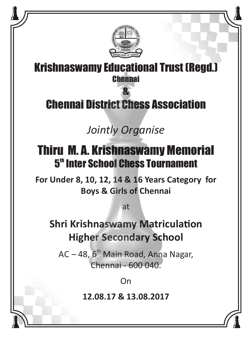

Krishnaswamy Educational Trust (Regd.) Chennai

## & Chennai District Chess Association

*Jointly Organise*

# Thiru M. A. Krishnaswamy Memorial **5<sup>th</sup> Inter School Chess Tournament**

**For Under 8, 10, 12, 14 & 16 Years Category for Boys & Girls of Chennai**

at

**Shri Krishnaswamy Matriculation Higher Secondary School**

 $AC - 48$ , 6<sup>th</sup> Main Road, Anna Nagar, Chennai - 600 040.

On

**12.08.17 & 13.08.2017**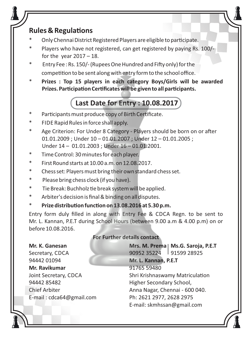### **Rules & Regulations**

- Only Chennai District Registered Players are eligible to participate.
- Players who have not registered, can get registered by paying Rs. 100/for the year  $2017 - 18$ .
- Entry Fee: Rs. 150/- (Rupees One Hundred and Fifty only) for the competition to be sent along with entry form to the school office.
- \* **Prizes : Top 15 players in each category Boys/Girls will be awarded**  Prizes. Participation Certificates will be given to all participants.

## **Last Date for Entry : 10.08.2017**

- Participants must produce copy of Birth Certificate.
- FIDE Rapid Rules in force shall apply.
- \* Age Criterion: For Under 8 Category Players should be born on or after 01.01.2009 ; Under 10 – 01.01.2007 ; Under 12 – 01.01.2005 ; Under 14 – 01.01.2003 ; Under 16 – 01.01.2001.
- Time Control: 30 minutes for each player.
- First Round starts at 10.00 a.m. on 12.08.2017.
- Chess set: Players must bring their own standard chess set.
- Please bring chess clock (if you have).
- Tie Break: Buchholz tie break system will be applied.
- Arbiter's decision is final & binding on all disputes.

### **Prize distribution function on 13.08.2016 at 5.30 p.m.**

Entry form duly filled in along with Entry Fee & CDCA Regn. to be sent to Mr. L. Kannan, P.E.T during School Hours (between 9.00 a.m & 4.00 p.m) on or before 10.08.2016.

94442 01094 **Mr. L. Kannan, P.E.T Mr. Ravikumar** 91765 59480

### **For Further details contact**

**Mr. K. Ganesan Mrs. M. Prema | Ms.G. Saroja, P.E.T** Secretary, CDCA 90952 35224 91599 28925 Joint Secretary, CDCA Shri Krishnaswamy Matriculation 94442 85482 Higher Secondary School, Chief Arbiter Anna Nagar, Chennai - 600 040. E-mail : cdca64@gmail.com Ph: 2621 2977, 2628 2975 E-mail: skmhssan@gmail.com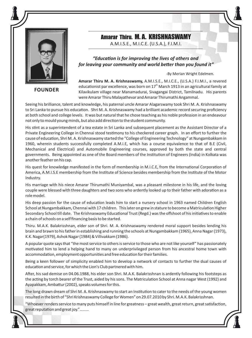

**FOUNDER**

Amarar Thiru. M. A. KRISHNASWAMY

A.M.I.S.E., M.I.C.E. (U.S.A.), F.I.M.I.

#### "Education is for improving the lives of others and for leaving your community and world better than you found it"

- By Merian Wright Edelmen.

**Amarar Thiru M. A. Krishnaswamy,** A.M.I.S.E., M.I.C.E., (U.S.A.) F.I.M.I., a revered educationist par excellence, was born on  $17<sup>th</sup>$  March 1913 in an agricultural family at Kilavikulam village near Manamadurai, Sivagangai District, Tamilnadu. His parents were Amarar Thiru Malayathevar and Amarar Thirumathi Angammal.

Seeing his brilliance, talent and knowledge, his paternal uncle Amarar Alagarswamy took Shri M. A. Krishnaswamy to Sri Lanka to pursue his education. Shri M. A. Krishnaswamy had a brilliant academic record securing proficiency at both school and college levels. It was but natural that he chose teaching as his noble profession in an endeavour not only to mould young minds, but also add direction to the student community.

His stint as a superintendent of a tea estate in Sri Lanka and subsequent placement as the Assistant Director of a Private Engineering College in Chennai stood testimony to his checkered career graph. In an effort to further the cause of education, Shri M. A. Krishnaswamy started the "College of Engineering Technology" at Nungambakkam in 1960, wherein students successfully completed A.M.I.E, which has a course equivalence to that of B.E (Civil, Mechanical and Electrical) and Automobile Engineering courses, approved by both the state and central governments. Being appointed as one of the Board members of the Institution of Engineers (India) in Kolkata was another feather on his cap.

His quest for knowledge manifested in the form of membership in M.I.C.E, from the International Corporation of America, A.M.I.S.E membership from the Institute of Science besides membership from the Institute of the Motor Industry.

His marriage with his niece Amarar Thirumathi Muniyambal, was a pleasant milestone in his life, and the loving couple were blessed with three daughters and two sons who ardently looked up to their father with adoration as a role model.

His deep passion for the cause of education leads him to start a nursery school in 1963 named Children English School at Nungambakkam, Chennai with 17 children. This later on grew in stature to become a Matriculation Higher Secondary School till date. The Krishnaswamy Educational Trust (Regd.) was the offshoot of his initiatives to enable a chain of schools on a self financing basis to be started.

Thiru. M.A.K. Balakrisshnan, elder son of Shri. M. A. Krishnaswamy rendered moral support besides lending his brain and brawn to his father in establishing and running the schools at Nungambakkam (1965), Anna Nagar (1973), K.K. Nagar(1979), Ashok Nagar (1984) & Villivakkam (1986).

A popular quote says that "the most service to others is service to those who are not like yourself" has passionately motivated him to lend a helping hand to many on underprivileged person from his ancestral home town with accommodation, employment opportunities and free education for their families.

Being a keen follower of simplicity enabled him to develop a network of contacts to further the dual causes of education and service, for which the Lion's Club partnered with him.

After, his sad demise on 04.06.1988, his elder son Shri. M.A.K. Balakrisshnan is ardently following his footsteps as the acting by torch bearer of the Trust, aided by his sons. The Matriculation School at Anna nagar West (1992) and Ayapakkam, Ambattur (2002), speaks volumes for this.

The long drawn dream of Shri M. A. Krishnaswamy to start an Institution to cater to the needs of the young women resulted in the birth of "Shri Krishnaswamy College for Women" on 29.07.2010 by Shri. M.A.K. Balakrisshnan.

"Whoever renders service to many puts himself in line for greatness – great wealth, great return, great satisfaction, great reputation and great joy.".........